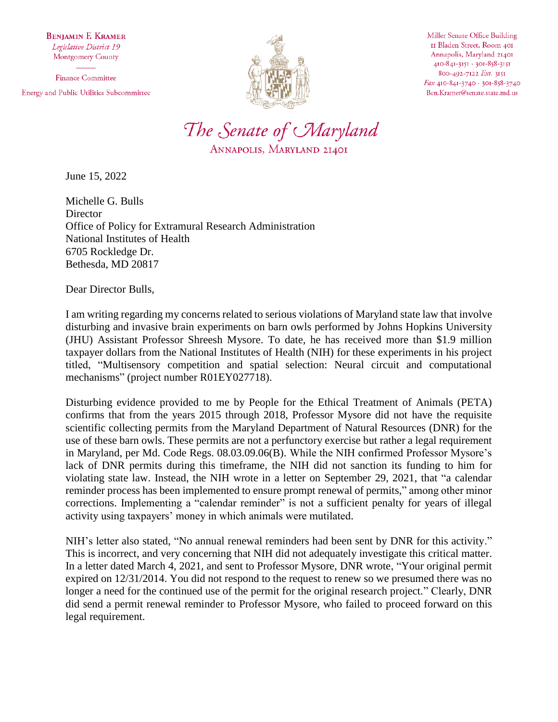**BENJAMIN F. KRAMER** Legislative District 19 Montgomery County

**Finance Committee** Energy and Public Utilities Subcommittee



Miller Senate Office Building II Bladen Street, Room 401 Annapolis, Maryland 21401 410-841-3151 · 301-858-3151 800-492-7122 Ext. 3151 Fax 410-841-3740 · 301-858-3740 Ben.Kramer@senate.state.md.us



June 15, 2022

Michelle G. Bulls **Director** Office of Policy for Extramural Research Administration National Institutes of Health 6705 Rockledge Dr. Bethesda, MD 20817

Dear Director Bulls,

I am writing regarding my concerns related to serious violations of Maryland state law that involve disturbing and invasive brain experiments on barn owls performed by Johns Hopkins University (JHU) Assistant Professor Shreesh Mysore. To date, he has received more than \$1.9 million taxpayer dollars from the National Institutes of Health (NIH) for these experiments in his project titled, "Multisensory competition and spatial selection: Neural circuit and computational mechanisms" (project number R01EY027718).

Disturbing evidence provided to me by People for the Ethical Treatment of Animals (PETA) confirms that from the years 2015 through 2018, Professor Mysore did not have the requisite scientific collecting permits from the Maryland Department of Natural Resources (DNR) for the use of these barn owls. These permits are not a perfunctory exercise but rather a legal requirement in Maryland, per Md. Code Regs. 08.03.09.06(B). While the NIH confirmed Professor Mysore's lack of DNR permits during this timeframe, the NIH did not sanction its funding to him for violating state law. Instead, the NIH wrote in a letter on September 29, 2021, that "a calendar reminder process has been implemented to ensure prompt renewal of permits," among other minor corrections. Implementing a "calendar reminder" is not a sufficient penalty for years of illegal activity using taxpayers' money in which animals were mutilated.

NIH's letter also stated, "No annual renewal reminders had been sent by DNR for this activity." This is incorrect, and very concerning that NIH did not adequately investigate this critical matter. In a letter dated March 4, 2021, and sent to Professor Mysore, DNR wrote, "Your original permit expired on 12/31/2014. You did not respond to the request to renew so we presumed there was no longer a need for the continued use of the permit for the original research project." Clearly, DNR did send a permit renewal reminder to Professor Mysore, who failed to proceed forward on this legal requirement.